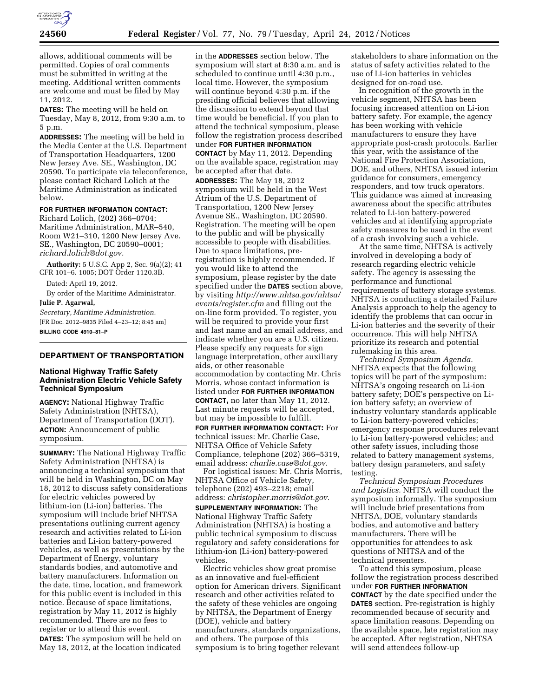

allows, additional comments will be permitted. Copies of oral comments must be submitted in writing at the meeting. Additional written comments are welcome and must be filed by May 11, 2012.

**DATES:** The meeting will be held on Tuesday, May 8, 2012, from 9:30 a.m. to 5 p.m.

**ADDRESSES:** The meeting will be held in the Media Center at the U.S. Department of Transportation Headquarters, 1200 New Jersey Ave. SE., Washington, DC 20590. To participate via teleconference, please contact Richard Lolich at the Maritime Administration as indicated below.

# **FOR FURTHER INFORMATION CONTACT:**

Richard Lolich, (202) 366–0704; Maritime Administration, MAR–540, Room W21–310, 1200 New Jersey Ave. SE., Washington, DC 20590–0001; *[richard.lolich@dot.gov.](mailto:richard.lolich@dot.gov)* 

**Authority:** 5 U.S.C. App 2, Sec. 9(a)(2); 41 CFR 101–6. 1005; DOT Order 1120.3B.

Dated: April 19, 2012.

By order of the Maritime Administrator. **Julie P. Agarwal,** 

*Secretary, Maritime Administration.*  [FR Doc. 2012–9835 Filed 4–23–12; 8:45 am] **BILLING CODE 4910–81–P** 

## **DEPARTMENT OF TRANSPORTATION**

## **National Highway Traffic Safety Administration Electric Vehicle Safety Technical Symposium**

**AGENCY:** National Highway Traffic Safety Administration (NHTSA), Department of Transportation (DOT). **ACTION:** Announcement of public symposium.

**SUMMARY:** The National Highway Traffic Safety Administration (NHTSA) is announcing a technical symposium that will be held in Washington, DC on May 18, 2012 to discuss safety considerations for electric vehicles powered by lithium-ion (Li-ion) batteries. The symposium will include brief NHTSA presentations outlining current agency research and activities related to Li-ion batteries and Li-ion battery-powered vehicles, as well as presentations by the Department of Energy, voluntary standards bodies, and automotive and battery manufacturers. Information on the date, time, location, and framework for this public event is included in this notice. Because of space limitations, registration by May 11, 2012 is highly recommended. There are no fees to register or to attend this event. **DATES:** The symposium will be held on

May 18, 2012, at the location indicated

in the **ADDRESSES** section below. The symposium will start at 8:30 a.m. and is scheduled to continue until 4:30 p.m., local time. However, the symposium will continue beyond 4:30 p.m. if the presiding official believes that allowing the discussion to extend beyond that time would be beneficial. If you plan to attend the technical symposium, please follow the registration process described under **FOR FURTHER INFORMATION CONTACT** by May 11, 2012. Depending on the available space, registration may be accepted after that date.

**ADDRESSES:** The May 18, 2012 symposium will be held in the West Atrium of the U.S. Department of Transportation, 1200 New Jersey Avenue SE., Washington, DC 20590. Registration. The meeting will be open to the public and will be physically accessible to people with disabilities. Due to space limitations, preregistration is highly recommended. If you would like to attend the symposium, please register by the date specified under the **DATES** section above, by visiting *[http://www.nhtsa.gov/nhtsa/](http://www.nhtsa.gov/nhtsa/events/register.cfm) [events/register.cfm](http://www.nhtsa.gov/nhtsa/events/register.cfm)* and filling out the on-line form provided. To register, you will be required to provide your first and last name and an email address, and indicate whether you are a U.S. citizen. Please specify any requests for sign language interpretation, other auxiliary aids, or other reasonable accommodation by contacting Mr. Chris Morris, whose contact information is listed under **FOR FURTHER INFORMATION CONTACT,** no later than May 11, 2012. Last minute requests will be accepted, but may be impossible to fulfill.

**FOR FURTHER INFORMATION CONTACT:** For technical issues: Mr. Charlie Case, NHTSA Office of Vehicle Safety Compliance, telephone (202) 366–5319, email address: *[charlie.case@dot.gov.](mailto:charlie.case@dot.gov)* 

For logistical issues: Mr. Chris Morris, NHTSA Office of Vehicle Safety, telephone (202) 493–2218; email address: *[christopher.morris@dot.gov.](mailto:christopher.morris@dot.gov)*  **SUPPLEMENTARY INFORMATION:** The National Highway Traffic Safety Administration (NHTSA) is hosting a public technical symposium to discuss regulatory and safety considerations for lithium-ion (Li-ion) battery-powered vehicles.

Electric vehicles show great promise as an innovative and fuel-efficient option for American drivers. Significant research and other activities related to the safety of these vehicles are ongoing by NHTSA, the Department of Energy (DOE), vehicle and battery manufacturers, standards organizations, and others. The purpose of this symposium is to bring together relevant

stakeholders to share information on the status of safety activities related to the use of Li-ion batteries in vehicles designed for on-road use.

In recognition of the growth in the vehicle segment, NHTSA has been focusing increased attention on Li-ion battery safety. For example, the agency has been working with vehicle manufacturers to ensure they have appropriate post-crash protocols. Earlier this year, with the assistance of the National Fire Protection Association, DOE, and others, NHTSA issued interim guidance for consumers, emergency responders, and tow truck operators. This guidance was aimed at increasing awareness about the specific attributes related to Li-ion battery-powered vehicles and at identifying appropriate safety measures to be used in the event of a crash involving such a vehicle.

At the same time, NHTSA is actively involved in developing a body of research regarding electric vehicle safety. The agency is assessing the performance and functional requirements of battery storage systems. NHTSA is conducting a detailed Failure Analysis approach to help the agency to identify the problems that can occur in Li-ion batteries and the severity of their occurrence. This will help NHTSA prioritize its research and potential rulemaking in this area.

*Technical Symposium Agenda.*  NHTSA expects that the following topics will be part of the symposium: NHTSA's ongoing research on Li-ion battery safety; DOE's perspective on Liion battery safety; an overview of industry voluntary standards applicable to Li-ion battery-powered vehicles; emergency response procedures relevant to Li-ion battery-powered vehicles; and other safety issues, including those related to battery management systems, battery design parameters, and safety testing.

*Technical Symposium Procedures and Logistics.* NHTSA will conduct the symposium informally. The symposium will include brief presentations from NHTSA, DOE, voluntary standards bodies, and automotive and battery manufacturers. There will be opportunities for attendees to ask questions of NHTSA and of the technical presenters.

To attend this symposium, please follow the registration process described under **FOR FURTHER INFORMATION CONTACT** by the date specified under the **DATES** section. Pre-registration is highly recommended because of security and space limitation reasons. Depending on the available space, late registration may be accepted. After registration, NHTSA will send attendees follow-up